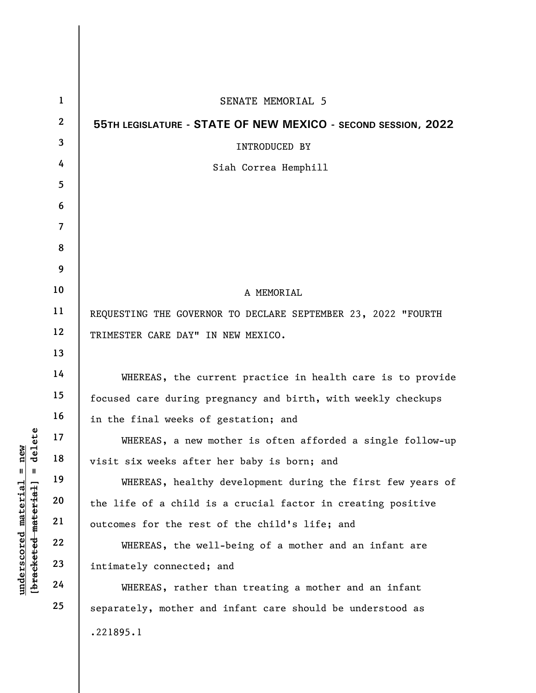|                                             | $\mathbf{1}$   | SENATE MEMORIAL 5                                             |
|---------------------------------------------|----------------|---------------------------------------------------------------|
|                                             | $\overline{2}$ | 55TH LEGISLATURE - STATE OF NEW MEXICO - SECOND SESSION, 2022 |
|                                             | 3              | <b>INTRODUCED BY</b>                                          |
|                                             | 4              | Siah Correa Hemphill                                          |
|                                             | 5              |                                                               |
|                                             | 6              |                                                               |
|                                             | $\overline{7}$ |                                                               |
|                                             | 8              |                                                               |
|                                             | 9              |                                                               |
|                                             | 10             | A MEMORIAL                                                    |
|                                             | 11             | REQUESTING THE GOVERNOR TO DECLARE SEPTEMBER 23, 2022 "FOURTH |
|                                             | 12             | TRIMESTER CARE DAY" IN NEW MEXICO.                            |
|                                             | 13             |                                                               |
|                                             | 14             | WHEREAS, the current practice in health care is to provide    |
|                                             | 15             | focused care during pregnancy and birth, with weekly checkups |
|                                             | 16             | in the final weeks of gestation; and                          |
| delete                                      | 17             | WHEREAS, a new mother is often afforded a single follow-up    |
| new<br>Ш<br>H                               | 18             | visit six weeks after her baby is born; and                   |
|                                             | 19             | WHEREAS, healthy development during the first few years of    |
|                                             | 20             | the life of a child is a crucial factor in creating positive  |
| underscored material<br>[bracketed material | 21             | outcomes for the rest of the child's life; and                |
|                                             | 22             | WHEREAS, the well-being of a mother and an infant are         |
|                                             | 23             | intimately connected; and                                     |
|                                             | 24             | WHEREAS, rather than treating a mother and an infant          |
|                                             | 25             | separately, mother and infant care should be understood as    |
|                                             |                | .221895.1                                                     |
|                                             |                |                                                               |

 $\mathbf{I}$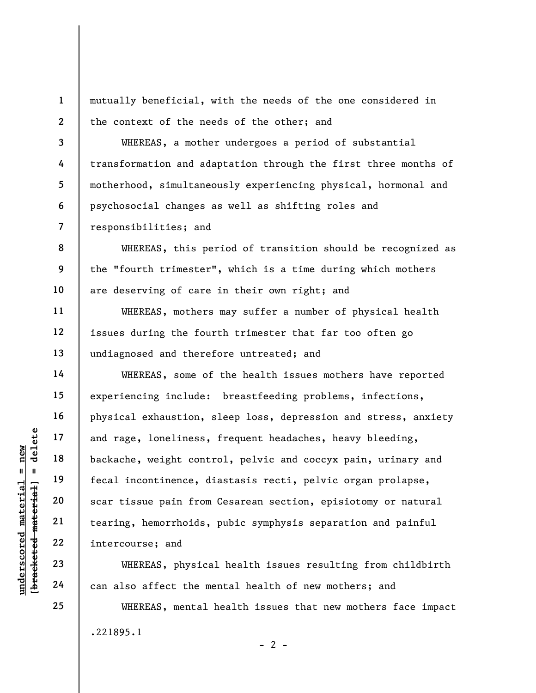mutually beneficial, with the needs of the one considered in the context of the needs of the other; and

WHEREAS, a mother undergoes a period of substantial transformation and adaptation through the first three months of motherhood, simultaneously experiencing physical, hormonal and psychosocial changes as well as shifting roles and responsibilities; and

8 9 10 WHEREAS, this period of transition should be recognized as the "fourth trimester", which is a time during which mothers are deserving of care in their own right; and

WHEREAS, mothers may suffer a number of physical health issues during the fourth trimester that far too often go undiagnosed and therefore untreated; and

understand<br>
understand material incontinence, d<br>
understand<br>
tecal incontinence, d<br>
scar tissue pain from<br>
tearing, hemorrhoids,<br>
22<br>
understand<br>
23<br>
24<br>
24<br>
24<br>
22<br>
24<br>
24<br>
22<br>
24<br>
22<br>
24<br>
22<br>
24<br>
22<br>
24<br>
22<br>
24<br>
22<br>
24<br> WHEREAS, some of the health issues mothers have reported experiencing include: breastfeeding problems, infections, physical exhaustion, sleep loss, depression and stress, anxiety and rage, loneliness, frequent headaches, heavy bleeding, backache, weight control, pelvic and coccyx pain, urinary and fecal incontinence, diastasis recti, pelvic organ prolapse, scar tissue pain from Cesarean section, episiotomy or natural tearing, hemorrhoids, pubic symphysis separation and painful intercourse; and

WHEREAS, physical health issues resulting from childbirth can also affect the mental health of new mothers; and

WHEREAS, mental health issues that new mothers face impact .221895.1  $- 2 -$ 

1

2

3

4

5

6

7

11

12

13

14

15

16

17

18

19

20

21

22

23

24

25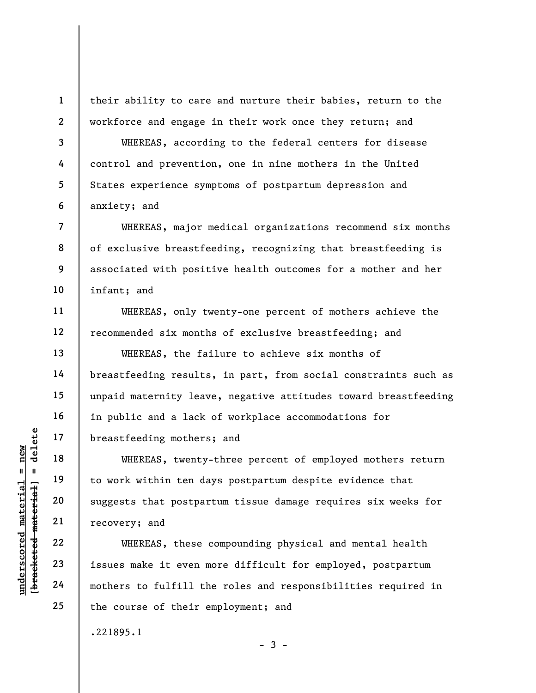their ability to care and nurture their babies, return to the workforce and engage in their work once they return; and

WHEREAS, according to the federal centers for disease control and prevention, one in nine mothers in the United States experience symptoms of postpartum depression and anxiety; and

WHEREAS, major medical organizations recommend six months of exclusive breastfeeding, recognizing that breastfeeding is associated with positive health outcomes for a mother and her infant; and

WHEREAS, only twenty-one percent of mothers achieve the recommended six months of exclusive breastfeeding; and

WHEREAS, the failure to achieve six months of breastfeeding results, in part, from social constraints such as unpaid maternity leave, negative attitudes toward breastfeeding in public and a lack of workplace accommodations for breastfeeding mothers; and

unders of the same that we have the towork within ten dangled with the density of the within ten dangled with the density of the same of the covery; and  $\begin{array}{l|l} \texttt{u} & \texttt{u} & \texttt{u} & \texttt{u} \\ \texttt{u} & \texttt{u} & \texttt{u} & \texttt{u} & \texttt$ WHEREAS, twenty-three percent of employed mothers return to work within ten days postpartum despite evidence that suggests that postpartum tissue damage requires six weeks for recovery; and

WHEREAS, these compounding physical and mental health issues make it even more difficult for employed, postpartum mothers to fulfill the roles and responsibilities required in the course of their employment; and

 $-3 -$ 

.221895.1

1

2

3

4

5

6

7

8

9

10

11

12

13

14

15

16

17

18

19

20

21

22

23

24

25